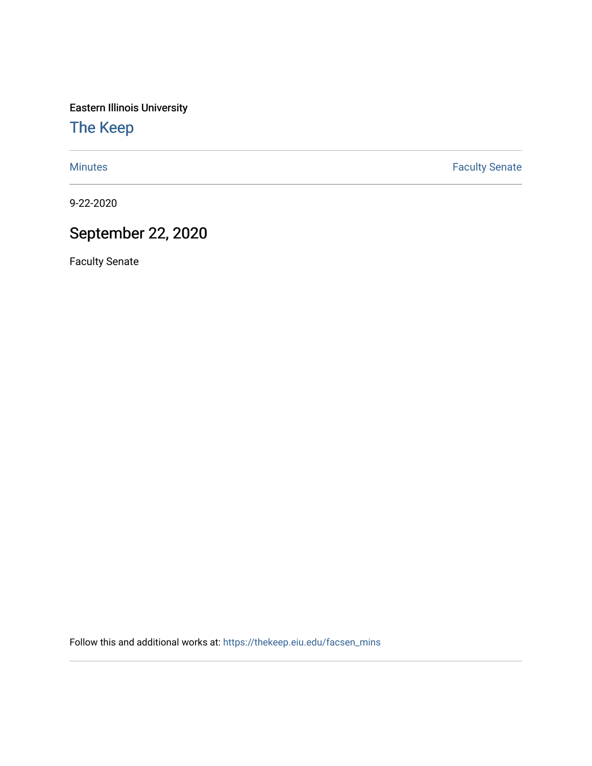Eastern Illinois University

[The Keep](https://thekeep.eiu.edu/) 

[Minutes](https://thekeep.eiu.edu/facsen_mins) **Faculty Senate** 

9-22-2020

## September 22, 2020

Faculty Senate

Follow this and additional works at: [https://thekeep.eiu.edu/facsen\\_mins](https://thekeep.eiu.edu/facsen_mins?utm_source=thekeep.eiu.edu%2Ffacsen_mins%2F1140&utm_medium=PDF&utm_campaign=PDFCoverPages)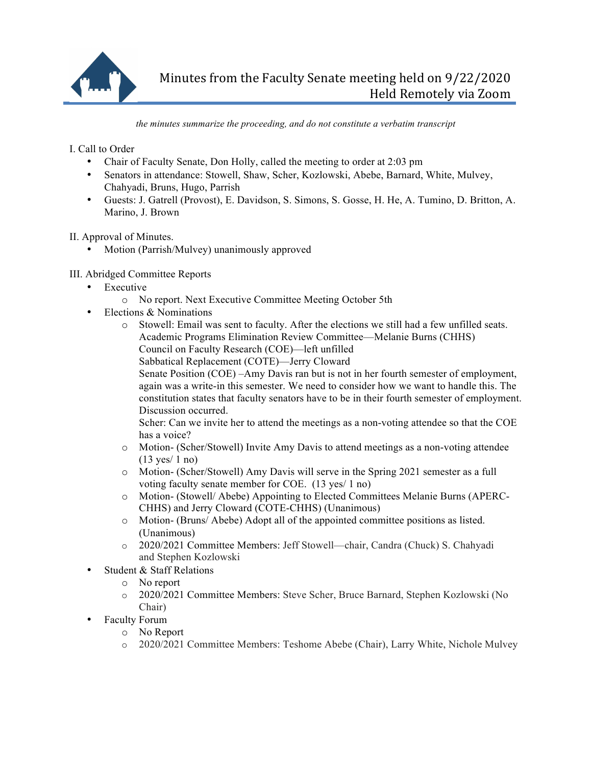

*the minutes summarize the proceeding, and do not constitute a verbatim transcript*

I. Call to Order

- Chair of Faculty Senate, Don Holly, called the meeting to order at 2:03 pm
- Senators in attendance: Stowell, Shaw, Scher, Kozlowski, Abebe, Barnard, White, Mulvey, Chahyadi, Bruns, Hugo, Parrish
- Guests: J. Gatrell (Provost), E. Davidson, S. Simons, S. Gosse, H. He, A. Tumino, D. Britton, A. Marino, J. Brown

II. Approval of Minutes.

• Motion (Parrish/Mulvey) unanimously approved

## III. Abridged Committee Reports

- Executive
	- o No report. Next Executive Committee Meeting October 5th
- Elections & Nominations
	- o Stowell: Email was sent to faculty. After the elections we still had a few unfilled seats. Academic Programs Elimination Review Committee—Melanie Burns (CHHS) Council on Faculty Research (COE)—left unfilled
		- Sabbatical Replacement (COTE)—Jerry Cloward

Senate Position (COE) –Amy Davis ran but is not in her fourth semester of employment, again was a write-in this semester. We need to consider how we want to handle this. The constitution states that faculty senators have to be in their fourth semester of employment. Discussion occurred.

Scher: Can we invite her to attend the meetings as a non-voting attendee so that the COE has a voice?

- o Motion- (Scher/Stowell) Invite Amy Davis to attend meetings as a non-voting attendee (13 yes/ 1 no)
- o Motion- (Scher/Stowell) Amy Davis will serve in the Spring 2021 semester as a full voting faculty senate member for COE. (13 yes/ 1 no)
- o Motion- (Stowell/ Abebe) Appointing to Elected Committees Melanie Burns (APERC-CHHS) and Jerry Cloward (COTE-CHHS) (Unanimous)
- o Motion- (Bruns/ Abebe) Adopt all of the appointed committee positions as listed. (Unanimous)
- o 2020/2021 Committee Members: Jeff Stowell—chair, Candra (Chuck) S. Chahyadi and Stephen Kozlowski
- Student & Staff Relations
	- o No report
	- o 2020/2021 Committee Members: Steve Scher, Bruce Barnard, Stephen Kozlowski (No Chair)
	- Faculty Forum
		- o No Report
		- o 2020/2021 Committee Members: Teshome Abebe (Chair), Larry White, Nichole Mulvey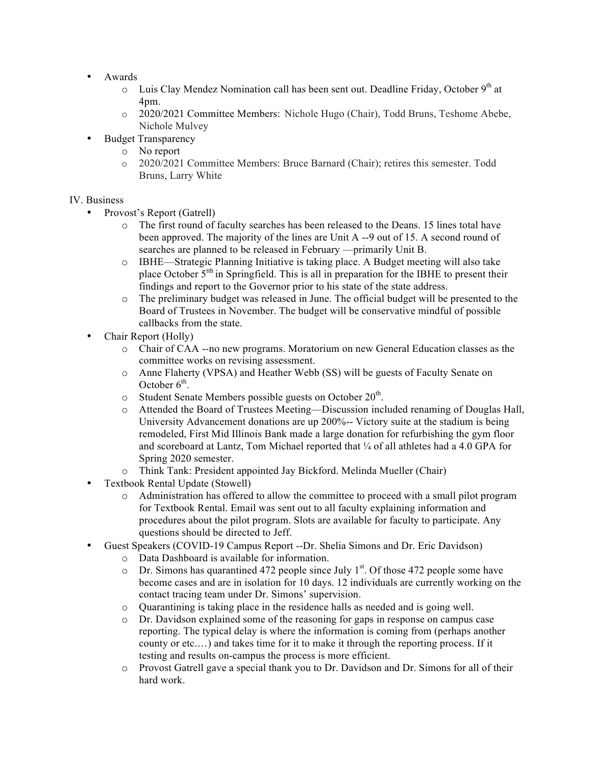- Awards
	- $\circ$  Luis Clay Mendez Nomination call has been sent out. Deadline Friday, October 9<sup>th</sup> at 4pm.
	- o 2020/2021 Committee Members: Nichole Hugo (Chair), Todd Bruns, Teshome Abebe, Nichole Mulvey
- Budget Transparency
	- o No report
	- o 2020/2021 Committee Members: Bruce Barnard (Chair); retires this semester. Todd Bruns, Larry White

## IV. Business

- Provost's Report (Gatrell)
	- o The first round of faculty searches has been released to the Deans. 15 lines total have been approved. The majority of the lines are Unit A --9 out of 15. A second round of searches are planned to be released in February —primarily Unit B.
	- o IBHE—Strategic Planning Initiative is taking place. A Budget meeting will also take place October  $5<sup>th</sup>$  in Springfield. This is all in preparation for the IBHE to present their findings and report to the Governor prior to his state of the state address.
	- o The preliminary budget was released in June. The official budget will be presented to the Board of Trustees in November. The budget will be conservative mindful of possible callbacks from the state.
- Chair Report (Holly)
	- o Chair of CAA --no new programs. Moratorium on new General Education classes as the committee works on revising assessment.
	- o Anne Flaherty (VPSA) and Heather Webb (SS) will be guests of Faculty Senate on October  $6<sup>th</sup>$ .
	- $\circ$  Student Senate Members possible guests on October 20<sup>th</sup>.
	- o Attended the Board of Trustees Meeting—Discussion included renaming of Douglas Hall, University Advancement donations are up 200%-- Victory suite at the stadium is being remodeled, First Mid Illinois Bank made a large donation for refurbishing the gym floor and scoreboard at Lantz, Tom Michael reported that ¼ of all athletes had a 4.0 GPA for Spring 2020 semester.
	- o Think Tank: President appointed Jay Bickford. Melinda Mueller (Chair)
- Textbook Rental Update (Stowell)
	- o Administration has offered to allow the committee to proceed with a small pilot program for Textbook Rental. Email was sent out to all faculty explaining information and procedures about the pilot program. Slots are available for faculty to participate. Any questions should be directed to Jeff.
- Guest Speakers (COVID-19 Campus Report --Dr. Shelia Simons and Dr. Eric Davidson)
	- o Data Dashboard is available for information.
	- $\circ$  Dr. Simons has quarantined 472 people since July 1<sup>st</sup>. Of those 472 people some have become cases and are in isolation for 10 days. 12 individuals are currently working on the contact tracing team under Dr. Simons' supervision.
	- o Quarantining is taking place in the residence halls as needed and is going well.
	- o Dr. Davidson explained some of the reasoning for gaps in response on campus case reporting. The typical delay is where the information is coming from (perhaps another county or etc.…) and takes time for it to make it through the reporting process. If it testing and results on-campus the process is more efficient.
	- o Provost Gatrell gave a special thank you to Dr. Davidson and Dr. Simons for all of their hard work.